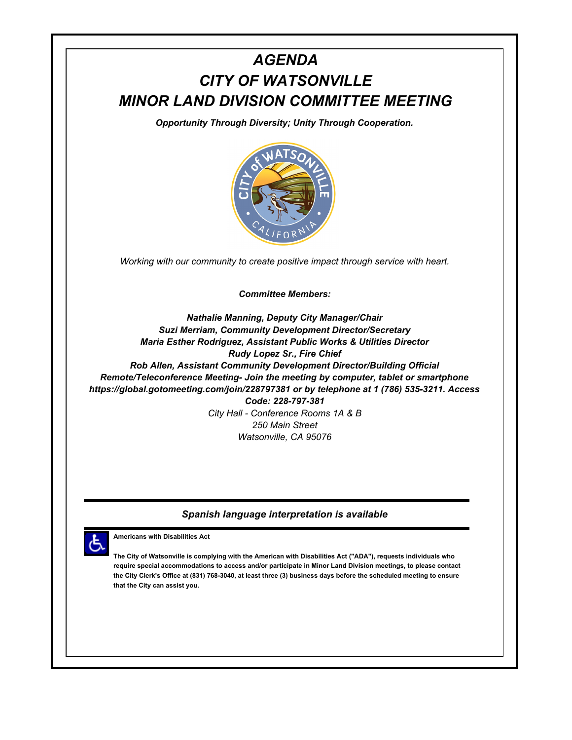# *AGENDA CITY OF WATSONVILLE MINOR LAND DIVISION COMMITTEE MEETING*

*Opportunity Through Diversity; Unity Through Cooperation.*



*Working with our community to create positive impact through service with heart.*

*Committee Members:*

*Nathalie Manning, Deputy City Manager/Chair Suzi Merriam, Community Development Director/Secretary Maria Esther Rodriguez, Assistant Public Works & Utilities Director Rudy Lopez Sr., Fire Chief Rob Allen, Assistant Community Development Director/Building Official Remote/Teleconference Meeting- Join the meeting by computer, tablet or smartphone https://global.gotomeeting.com/join/228797381 or by telephone at 1 (786) 535-3211. Access Code: 228-797-381 City Hall - Conference Rooms 1A & B 250 Main Street*

*Watsonville, CA 95076*

#### *Spanish language interpretation is available*



**Americans with Disabilities Act**

**The City of Watsonville is complying with the American with Disabilities Act ("ADA"), requests individuals who require special accommodations to access and/or participate in Minor Land Division meetings, to please contact the City Clerk's Office at (831) 768-3040, at least three (3) business days before the scheduled meeting to ensure that the City can assist you.**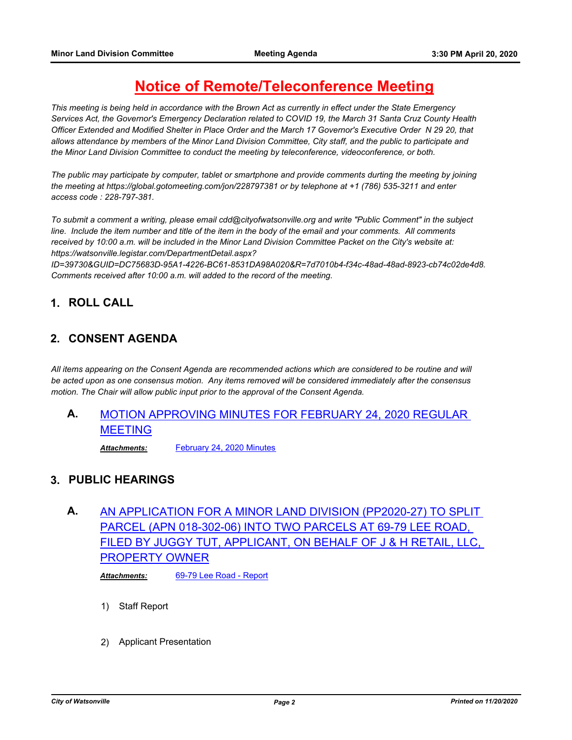## **Notice of Remote/Teleconference Meeting**

*This meeting is being held in accordance with the Brown Act as currently in effect under the State Emergency Services Act, the Governor's Emergency Declaration related to COVID 19, the March 31 Santa Cruz County Health Officer Extended and Modified Shelter in Place Order and the March 17 Governor's Executive Order N 29 20, that allows attendance by members of the Minor Land Division Committee, City staff, and the public to participate and the Minor Land Division Committee to conduct the meeting by teleconference, videoconference, or both.*

*The public may participate by computer, tablet or smartphone and provide comments durting the meeting by joining the meeting at https://global.gotomeeting.com/jon/228797381 or by telephone at +1 (786) 535-3211 and enter access code : 228-797-381.*

*To submit a comment a writing, please email cdd@cityofwatsonville.org and write "Public Comment" in the subject*  line. Include the item number and title of the item in the body of the email and your comments. All comments *received by 10:00 a.m. will be included in the Minor Land Division Committee Packet on the City's website at: https://watsonville.legistar.com/DepartmentDetail.aspx?*

*ID=39730&GUID=DC75683D-95A1-4226-BC61-8531DA98A020&R=7d7010b4-f34c-48ad-48ad-8923-cb74c02de4d8. Comments received after 10:00 a.m. will added to the record of the meeting.*

## **1. ROLL CALL**

#### **2. CONSENT AGENDA**

*All items appearing on the Consent Agenda are recommended actions which are considered to be routine and will be acted upon as one consensus motion. Any items removed will be considered immediately after the consensus motion. The Chair will allow public input prior to the approval of the Consent Agenda.*

## **A.** [MOTION APPROVING MINUTES FOR FEBRUARY 24, 2020 REGULAR](http://watsonville.legistar.com/gateway.aspx?m=l&id=/matter.aspx?key=3129)  MEETING

*Attachments:* [February 24, 2020 Minutes](http://watsonville.legistar.com/gateway.aspx?M=F&ID=9eaf37ee-12da-4f29-a784-0150acad8a63.doc)

#### **3. PUBLIC HEARINGS**

## **A.** AN APPLICATION FOR A MINOR LAND DIVISION (PP2020-27) TO SPLIT PARCEL (APN 018-302-06) INTO TWO PARCELS AT 69-79 LEE ROAD, [FILED BY JUGGY TUT, APPLICANT, ON BEHALF OF J & H RETAIL, LLC,](http://watsonville.legistar.com/gateway.aspx?m=l&id=/matter.aspx?key=3130)  PROPERTY OWNER

*Attachments:* [69-79 Lee Road - Report](http://watsonville.legistar.com/gateway.aspx?M=F&ID=156a2800-1ec3-4728-b76f-3f17b11f0e5c.pdf)

- 1) Staff Report
- 2) Applicant Presentation